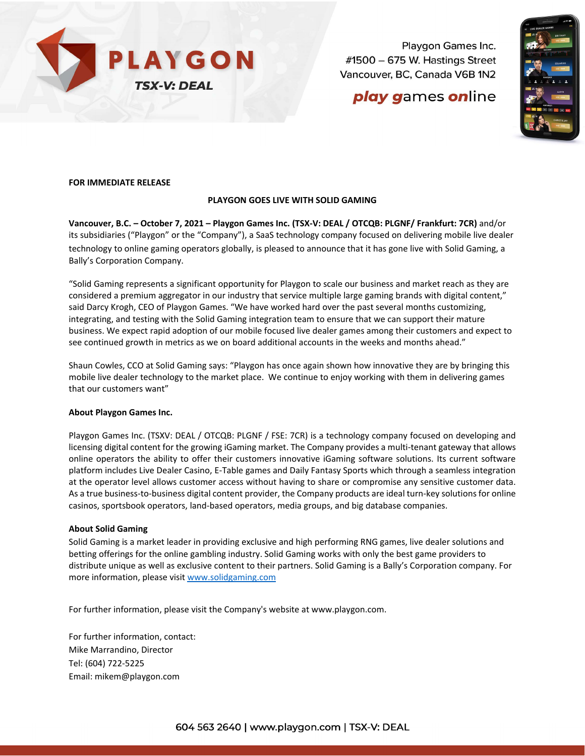

Playgon Games Inc. #1500 - 675 W. Hastings Street Vancouver, BC, Canada V6B 1N2

# play games online



## **FOR IMMEDIATE RELEASE**

### **PLAYGON GOES LIVE WITH SOLID GAMING**

**Vancouver, B.C. – October 7, 2021 – Playgon Games Inc. (TSX-V: DEAL / OTCQB: PLGNF/ Frankfurt: 7CR)** and/or its subsidiaries ("Playgon" or the "Company"), a SaaS technology company focused on delivering mobile live dealer technology to online gaming operators globally, is pleased to announce that it has gone live with Solid Gaming, a Bally's Corporation Company.

"Solid Gaming represents a significant opportunity for Playgon to scale our business and market reach as they are considered a premium aggregator in our industry that service multiple large gaming brands with digital content," said Darcy Krogh, CEO of Playgon Games. "We have worked hard over the past several months customizing, integrating, and testing with the Solid Gaming integration team to ensure that we can support their mature business. We expect rapid adoption of our mobile focused live dealer games among their customers and expect to see continued growth in metrics as we on board additional accounts in the weeks and months ahead."

Shaun Cowles, CCO at Solid Gaming says: "Playgon has once again shown how innovative they are by bringing this mobile live dealer technology to the market place. We continue to enjoy working with them in delivering games that our customers want"

#### **About Playgon Games Inc.**

Playgon Games Inc. (TSXV: DEAL / OTCQB: PLGNF / FSE: 7CR) is a technology company focused on developing and licensing digital content for the growing iGaming market. The Company provides a multi-tenant gateway that allows online operators the ability to offer their customers innovative iGaming software solutions. Its current software platform includes Live Dealer Casino, E-Table games and Daily Fantasy Sports which through a seamless integration at the operator level allows customer access without having to share or compromise any sensitive customer data. As a true business-to-business digital content provider, the Company products are ideal turn-key solutions for online casinos, sportsbook operators, land-based operators, media groups, and big database companies.

#### **About Solid Gaming**

Solid Gaming is a market leader in providing exclusive and high performing RNG games, live dealer solutions and betting offerings for the online gambling industry. Solid Gaming works with only the best game providers to distribute unique as well as exclusive content to their partners. Solid Gaming is a Bally's Corporation company. For more information, please visit [www.solidgaming.com](http://www.solidgaming.com/)

For further information, please visit the Company's website at [www.playgon.com.](http://www.playgon.com/)

For further information, contact: Mike Marrandino, Director Tel: (604) 722-5225 Email: [mikem@playgon.com](mailto:mikem@playgon.com)